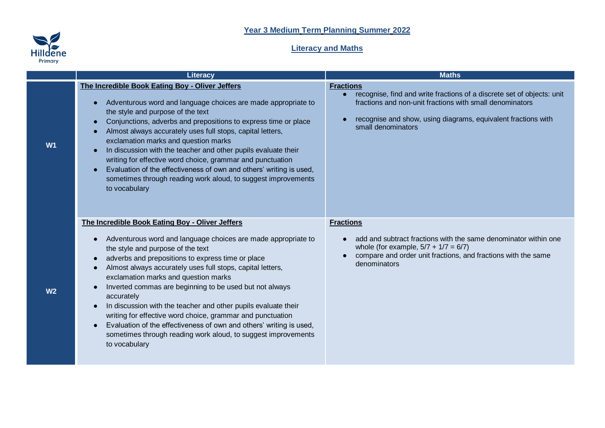## **Year 3 Medium Term Planning Summer 2022**



## **Literacy and Maths**

|                | <b>Literacy</b>                                                                                                                                                                                                                                                                                                                                                                                                                                                                                                                                                                                                                                                                                 | <b>Maths</b>                                                                                                                                                                                                                                  |
|----------------|-------------------------------------------------------------------------------------------------------------------------------------------------------------------------------------------------------------------------------------------------------------------------------------------------------------------------------------------------------------------------------------------------------------------------------------------------------------------------------------------------------------------------------------------------------------------------------------------------------------------------------------------------------------------------------------------------|-----------------------------------------------------------------------------------------------------------------------------------------------------------------------------------------------------------------------------------------------|
| W <sub>1</sub> | The Incredible Book Eating Boy - Oliver Jeffers<br>Adventurous word and language choices are made appropriate to<br>the style and purpose of the text<br>Conjunctions, adverbs and prepositions to express time or place<br>Almost always accurately uses full stops, capital letters,<br>exclamation marks and question marks<br>In discussion with the teacher and other pupils evaluate their<br>writing for effective word choice, grammar and punctuation<br>Evaluation of the effectiveness of own and others' writing is used,<br>sometimes through reading work aloud, to suggest improvements<br>to vocabulary                                                                         | <b>Fractions</b><br>recognise, find and write fractions of a discrete set of objects: unit<br>fractions and non-unit fractions with small denominators<br>recognise and show, using diagrams, equivalent fractions with<br>small denominators |
| W <sub>2</sub> | The Incredible Book Eating Boy - Oliver Jeffers<br>Adventurous word and language choices are made appropriate to<br>the style and purpose of the text<br>adverbs and prepositions to express time or place<br>Almost always accurately uses full stops, capital letters,<br>exclamation marks and question marks<br>Inverted commas are beginning to be used but not always<br>accurately<br>In discussion with the teacher and other pupils evaluate their<br>$\bullet$<br>writing for effective word choice, grammar and punctuation<br>Evaluation of the effectiveness of own and others' writing is used,<br>sometimes through reading work aloud, to suggest improvements<br>to vocabulary | <b>Fractions</b><br>add and subtract fractions with the same denominator within one<br>whole (for example, $5/7 + 1/7 = 6/7$ )<br>compare and order unit fractions, and fractions with the same<br>denominators                               |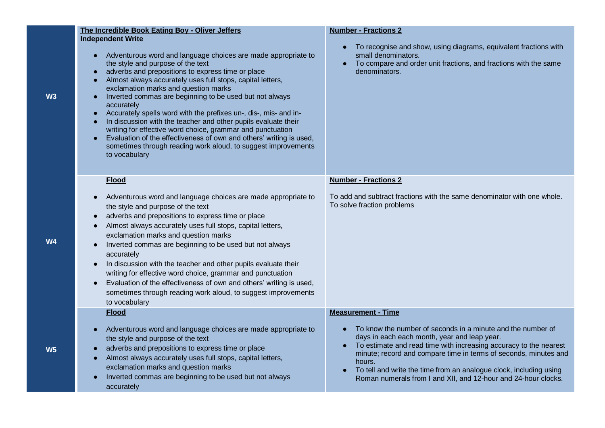| The Incredible Book Eating Boy - Oliver Jeffers<br><b>Independent Write</b><br>Adventurous word and language choices are made appropriate to<br>$\bullet$<br>the style and purpose of the text<br>adverbs and prepositions to express time or place<br>Almost always accurately uses full stops, capital letters,<br>$\bullet$<br>exclamation marks and question marks<br>Inverted commas are beginning to be used but not always<br>$\bullet$<br>accurately<br>Accurately spells word with the prefixes un-, dis-, mis- and in-<br>$\bullet$<br>In discussion with the teacher and other pupils evaluate their                                                                                     | <b>Number - Fractions 2</b><br>To recognise and show, using diagrams, equivalent fractions with<br>small denominators.<br>To compare and order unit fractions, and fractions with the same<br>denominators.                                                                                                                                                                                                                         |
|-----------------------------------------------------------------------------------------------------------------------------------------------------------------------------------------------------------------------------------------------------------------------------------------------------------------------------------------------------------------------------------------------------------------------------------------------------------------------------------------------------------------------------------------------------------------------------------------------------------------------------------------------------------------------------------------------------|-------------------------------------------------------------------------------------------------------------------------------------------------------------------------------------------------------------------------------------------------------------------------------------------------------------------------------------------------------------------------------------------------------------------------------------|
| writing for effective word choice, grammar and punctuation<br>Evaluation of the effectiveness of own and others' writing is used,<br>$\bullet$<br>sometimes through reading work aloud, to suggest improvements<br>to vocabulary                                                                                                                                                                                                                                                                                                                                                                                                                                                                    |                                                                                                                                                                                                                                                                                                                                                                                                                                     |
| <b>Flood</b><br>Adventurous word and language choices are made appropriate to<br>$\bullet$<br>the style and purpose of the text<br>adverbs and prepositions to express time or place<br>$\bullet$<br>Almost always accurately uses full stops, capital letters,<br>$\bullet$<br>exclamation marks and question marks<br>Inverted commas are beginning to be used but not always<br>$\bullet$<br>accurately<br>In discussion with the teacher and other pupils evaluate their<br>writing for effective word choice, grammar and punctuation<br>Evaluation of the effectiveness of own and others' writing is used,<br>sometimes through reading work aloud, to suggest improvements<br>to vocabulary | <b>Number - Fractions 2</b><br>To add and subtract fractions with the same denominator with one whole.<br>To solve fraction problems                                                                                                                                                                                                                                                                                                |
| <b>Flood</b><br>Adventurous word and language choices are made appropriate to<br>$\bullet$<br>the style and purpose of the text<br>adverbs and prepositions to express time or place<br>$\bullet$<br>Almost always accurately uses full stops, capital letters,<br>$\bullet$<br>exclamation marks and question marks<br>Inverted commas are beginning to be used but not always<br>accurately                                                                                                                                                                                                                                                                                                       | <b>Measurement - Time</b><br>To know the number of seconds in a minute and the number of<br>days in each each month, year and leap year.<br>To estimate and read time with increasing accuracy to the nearest<br>minute; record and compare time in terms of seconds, minutes and<br>hours.<br>To tell and write the time from an analogue clock, including using<br>Roman numerals from I and XII, and 12-hour and 24-hour clocks. |

**W3**

**W4**

**W5**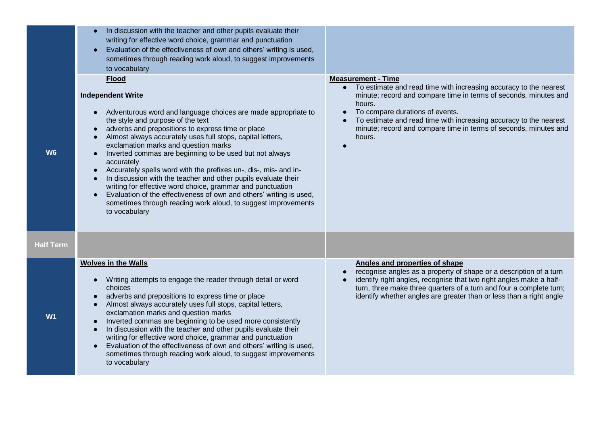|                  | In discussion with the teacher and other pupils evaluate their<br>writing for effective word choice, grammar and punctuation<br>Evaluation of the effectiveness of own and others' writing is used,<br>$\bullet$<br>sometimes through reading work aloud, to suggest improvements<br>to vocabulary                                                                                                                                                                                                                                                                                                                                                                                                                                                                                                                                         |                                                                                                                                                                                                                                                                                                                                                                                   |
|------------------|--------------------------------------------------------------------------------------------------------------------------------------------------------------------------------------------------------------------------------------------------------------------------------------------------------------------------------------------------------------------------------------------------------------------------------------------------------------------------------------------------------------------------------------------------------------------------------------------------------------------------------------------------------------------------------------------------------------------------------------------------------------------------------------------------------------------------------------------|-----------------------------------------------------------------------------------------------------------------------------------------------------------------------------------------------------------------------------------------------------------------------------------------------------------------------------------------------------------------------------------|
| <b>W6</b>        | <b>Flood</b><br><b>Independent Write</b><br>Adventurous word and language choices are made appropriate to<br>$\bullet$<br>the style and purpose of the text<br>adverbs and prepositions to express time or place<br>$\bullet$<br>Almost always accurately uses full stops, capital letters,<br>$\bullet$<br>exclamation marks and question marks<br>Inverted commas are beginning to be used but not always<br>$\bullet$<br>accurately<br>Accurately spells word with the prefixes un-, dis-, mis- and in-<br>$\bullet$<br>In discussion with the teacher and other pupils evaluate their<br>$\bullet$<br>writing for effective word choice, grammar and punctuation<br>Evaluation of the effectiveness of own and others' writing is used,<br>$\bullet$<br>sometimes through reading work aloud, to suggest improvements<br>to vocabulary | <b>Measurement - Time</b><br>• To estimate and read time with increasing accuracy to the nearest<br>minute; record and compare time in terms of seconds, minutes and<br>hours.<br>To compare durations of events.<br>$\bullet$<br>To estimate and read time with increasing accuracy to the nearest<br>minute; record and compare time in terms of seconds, minutes and<br>hours. |
| <b>Half Term</b> |                                                                                                                                                                                                                                                                                                                                                                                                                                                                                                                                                                                                                                                                                                                                                                                                                                            |                                                                                                                                                                                                                                                                                                                                                                                   |
| W <sub>1</sub>   | <b>Wolves in the Walls</b><br>Writing attempts to engage the reader through detail or word<br>$\bullet$<br>choices<br>adverbs and prepositions to express time or place<br>$\bullet$<br>Almost always accurately uses full stops, capital letters,<br>$\bullet$<br>exclamation marks and question marks<br>Inverted commas are beginning to be used more consistently<br>$\bullet$<br>In discussion with the teacher and other pupils evaluate their<br>$\bullet$<br>writing for effective word choice, grammar and punctuation<br>Evaluation of the effectiveness of own and others' writing is used,<br>$\bullet$<br>sometimes through reading work aloud, to suggest improvements<br>to vocabulary                                                                                                                                      | Angles and properties of shape<br>recognise angles as a property of shape or a description of a turn<br>identify right angles, recognise that two right angles make a half-<br>turn, three make three quarters of a turn and four a complete turn;<br>identify whether angles are greater than or less than a right angle                                                         |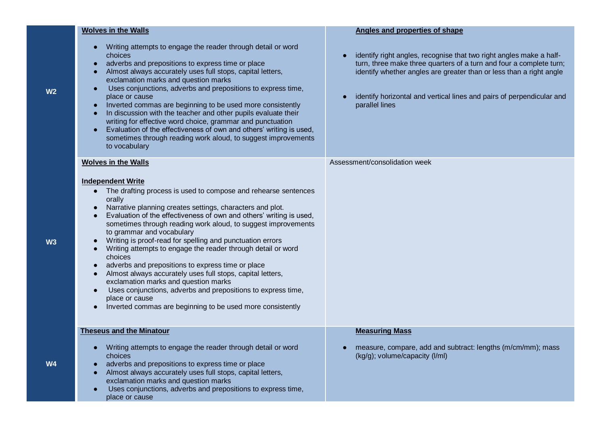| <b>Wolves in the Walls</b>                                                                                                                                                                                                                                                                                                                                                                                                                                                                                                                                                                                                                                                                                                                                                                                              | <b>Angles and properties of shape</b>                                                                                                                                                                                                                                                                        |
|-------------------------------------------------------------------------------------------------------------------------------------------------------------------------------------------------------------------------------------------------------------------------------------------------------------------------------------------------------------------------------------------------------------------------------------------------------------------------------------------------------------------------------------------------------------------------------------------------------------------------------------------------------------------------------------------------------------------------------------------------------------------------------------------------------------------------|--------------------------------------------------------------------------------------------------------------------------------------------------------------------------------------------------------------------------------------------------------------------------------------------------------------|
| Writing attempts to engage the reader through detail or word<br>choices<br>adverbs and prepositions to express time or place<br>Almost always accurately uses full stops, capital letters,<br>exclamation marks and question marks<br>Uses conjunctions, adverbs and prepositions to express time,<br>place or cause<br>Inverted commas are beginning to be used more consistently<br>$\bullet$<br>In discussion with the teacher and other pupils evaluate their<br>writing for effective word choice, grammar and punctuation<br>Evaluation of the effectiveness of own and others' writing is used,<br>sometimes through reading work aloud, to suggest improvements<br>to vocabulary                                                                                                                                | identify right angles, recognise that two right angles make a half-<br>turn, three make three quarters of a turn and four a complete turn;<br>identify whether angles are greater than or less than a right angle<br>identify horizontal and vertical lines and pairs of perpendicular and<br>parallel lines |
| <b>Wolves in the Walls</b><br><b>Independent Write</b><br>The drafting process is used to compose and rehearse sentences<br>orally<br>Narrative planning creates settings, characters and plot.<br>Evaluation of the effectiveness of own and others' writing is used,<br>sometimes through reading work aloud, to suggest improvements<br>to grammar and vocabulary<br>Writing is proof-read for spelling and punctuation errors<br>Writing attempts to engage the reader through detail or word<br>choices<br>adverbs and prepositions to express time or place<br>Almost always accurately uses full stops, capital letters,<br>exclamation marks and question marks<br>Uses conjunctions, adverbs and prepositions to express time,<br>place or cause<br>Inverted commas are beginning to be used more consistently | Assessment/consolidation week                                                                                                                                                                                                                                                                                |
| <b>Theseus and the Minatour</b><br>Writing attempts to engage the reader through detail or word<br>choices<br>adverbs and prepositions to express time or place<br>Almost always accurately uses full stops, capital letters,<br>exclamation marks and question marks<br>Uses conjunctions, adverbs and prepositions to express time,<br>$\bullet$<br>place or cause                                                                                                                                                                                                                                                                                                                                                                                                                                                    | <b>Measuring Mass</b><br>measure, compare, add and subtract: lengths (m/cm/mm); mass<br>(kg/g); volume/capacity (l/ml)                                                                                                                                                                                       |

**W2**

**W** 

**W4**